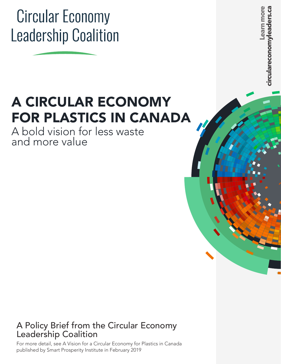# **Circular Economy Leadership Coalition**

# A CIRCULAR ECONOMY FOR PLASTICS IN CANADA

A bold vision for less waste and more value

### A Policy Brief from the Circular Economy Leadership Coalition

For more detail, see A Vision for a Circular Economy for Plastics in Canada published by Smart Prosperity Institute in February 2019

**Learn more circulareconomyleaders.ca eagers** irculareconomy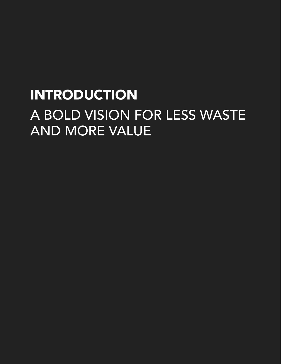# INTRODUCTION A BOLD VISION FOR LESS WASTE AND MORE VALUE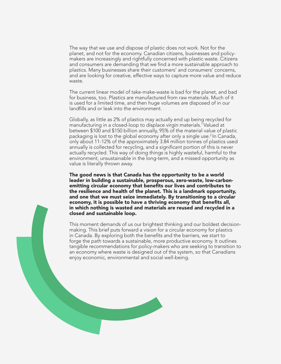The way that we use and dispose of plastic does not work. Not for the planet, and not for the economy. Canadian citizens, businesses and policymakers are increasingly and rightfully concerned with plastic waste. Citizens and consumers are demanding that we find a more sustainable approach to plastics. Many businesses share their customers' and consumers' concerns, and are looking for creative, effective ways to capture more value and reduce waste.

The current linear model of take-make-waste is bad for the planet, and bad for business, too. Plastics are manufactured from raw materials. Much of it is used for a limited time, and then huge volumes are disposed of in our landfills and or leak into the environment.

Globally, as little as 2% of plastics may actually end up being recycled for manufacturing in a closed-loop to displace virgin materials.<sup>1</sup> Valued at between \$100 and \$150 billion annually, 95% of the material value of plastic packaging is lost to the global economy after only a single use.<sup>2</sup> In Canada, only about 11-12% of the approximately 3.84 million tonnes of plastics used annually is collected for recycling, and a significant portion of this is never actually recycled. This way of doing things is highly wasteful, harmful to the environment, unsustainable in the long-term, and a missed opportunity as value is literally thrown away.

The good news is that Canada has the opportunity to be a world leader in building a sustainable, prosperous, zero-waste, low-carbonemitting circular economy that benefits our lives and contributes to the resilience and health of the planet. This is a landmark opportunity, and one that we must seize immediately. By transitioning to a circular economy, it is possible to have a thriving economy that benefits all, in which nothing is wasted and materials are reused and recycled in a closed and sustainable loop.

This moment demands of us our brightest thinking and our boldest decisionmaking. This brief puts forward a vision for a circular economy for plastics in Canada. By exploring both the benefits and the barriers, we start to forge the path towards a sustainable, more productive economy. It outlines tangible recommendations for policy-makers who are seeking to transition to an economy where waste is designed out of the system, so that Canadians enjoy economic, environmental and social well-being.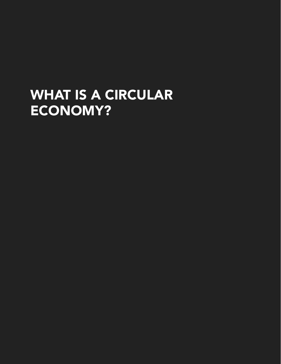## WHAT IS A CIRCULAR ECONOMY?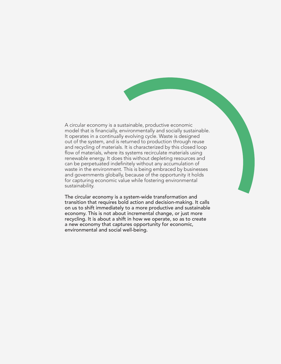A circular economy is a sustainable, productive economic model that is financially, environmentally and socially sustainable. It operates in a continually evolving cycle. Waste is designed out of the system, and is returned to production through reuse and recycling of materials. It is characterized by this closed loop flow of materials, where its systems recirculate materials using renewable energy. It does this without depleting resources and can be perpetuated indefinitely without any accumulation of waste in the environment. This is being embraced by businesses and governments globally, because of the opportunity it holds for capturing economic value while fostering environmental sustainability.

The circular economy is a system-wide transformation and transition that requires bold action and decision-making. It calls on us to shift immediately to a more productive and sustainable economy. This is not about incremental change, or just more recycling. It is about a shift in how we operate, so as to create a new economy that captures opportunity for economic, environmental and social well-being.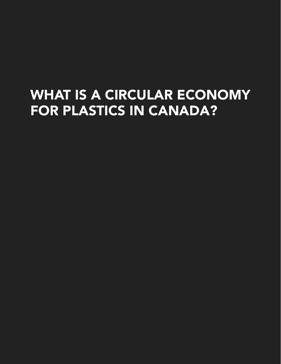## WHAT IS A CIRCULAR ECONOMY FOR PLASTICS IN CANADA?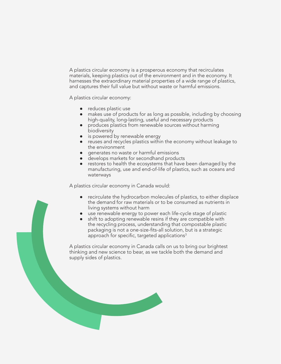A plastics circular economy is a prosperous economy that recirculates materials, keeping plastics out of the environment and in the economy. It harnesses the extraordinary material properties of a wide range of plastics, and captures their full value but without waste or harmful emissions.

A plastics circular economy:

- reduces plastic use
- makes use of products for as long as possible, including by choosing high-quality, long-lasting, useful and necessary products
- produces plastics from renewable sources without harming biodiversity
- is powered by renewable energy
- reuses and recycles plastics within the economy without leakage to the environment
- generates no waste or harmful emissions
- develops markets for secondhand products
- restores to health the ecosystems that have been damaged by the manufacturing, use and end-of-life of plastics, such as oceans and waterways

A plastics circular economy in Canada would:

- recirculate the hydrocarbon molecules of plastics, to either displace the demand for raw materials or to be consumed as nutrients in living systems without harm
- use renewable energy to power each life-cycle stage of plastic
- shift to adopting renewable resins if they are compatible with the recycling process, understanding that compostable plastic packaging is not a one-size-fits-all solution, but is a strategic approach for specific, targeted applications<sup>3</sup>

A plastics circular economy in Canada calls on us to bring our brightest thinking and new science to bear, as we tackle both the demand and supply sides of plastics.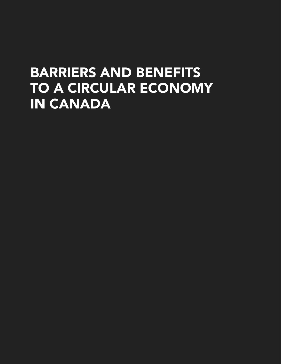### BARRIERS AND BENEFITS TO A CIRCULAR ECONOMY IN CANADA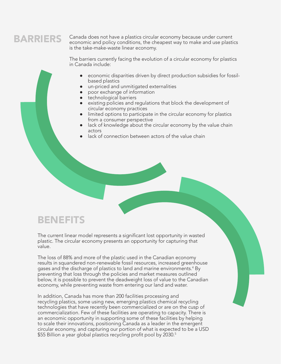### BARRIERS

Canada does not have a plastics circular economy because under current economic and policy conditions, the cheapest way to make and use plastics is the take-make-waste linear economy.

The barriers currently facing the evolution of a circular economy for plastics in Canada include:

- economic disparities driven by direct production subsidies for fossilbased plastics
- un-priced and unmitigated externalities
- poor exchange of information
- **•** technological barriers
- existing policies and regulations that block the development of circular economy practices
- limited options to participate in the circular economy for plastics from a consumer perspective
- lack of knowledge about the circular economy by the value chain actors
- lack of connection between actors of the value chain

### BENEFITS

The current linear model represents a significant lost opportunity in wasted plastic. The circular economy presents an opportunity for capturing that value.

The loss of 88% and more of the plastic used in the Canadian economy results in squandered non-renewable fossil resources, increased greenhouse gases and the discharge of plastics to land and marine environments.<sup>4</sup> By preventing that loss through the policies and market measures outlined below, it is possible to prevent the deadweight loss of value to the Canadian economy, while preventing waste from entering our land and water.

In addition, Canada has more than 200 facilities processing and recycling plastics, some using new, emerging plastics chemical recycling technologies that have recently been commercialized or are on the cusp of commercialization. Few of these facilities are operating to capacity. There is an economic opportunity in supporting some of these facilities by helping to scale their innovations, positioning Canada as a leader in the emergent circular economy, and capturing our portion of what is expected to be a USD \$55 Billion a year global plastics recycling profit pool by 2030.<sup>5</sup>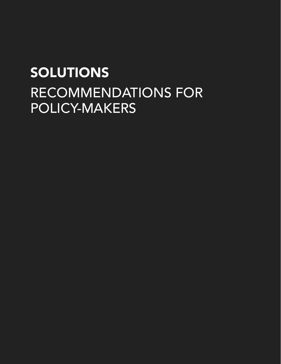# SOLUTIONS RECOMMENDATIONS FOR POLICY-MAKERS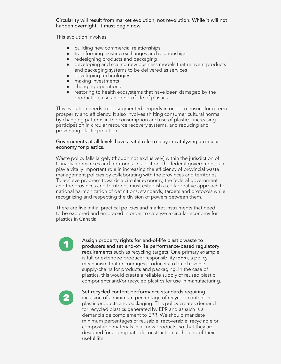#### Circularity will result from market evolution, not revolution. While it will not happen overnight, it must begin now.

This evolution involves:

- building new commercial relationships
- transforming existing exchanges and relationships
- redesigning products and packaging
- developing and scaling new business models that reinvent products and packaging systems to be delivered as services
- developing technologies
- making investments
- changing operations
- restoring to health ecosystems that have been damaged by the production, use and end-of-life of plastics

This evolution needs to be segmented properly in order to ensure long-term prosperity and efficiency. It also involves shifting consumer cultural norms by changing patterns in the consumption and use of plastics, increasing participation in circular resource recovery systems, and reducing and preventing plastic pollution.

#### Governments at all levels have a vital role to play in catalyzing a circular economy for plastics.

Waste policy falls largely (though not exclusively) within the jurisdiction of Canadian provinces and territories. In addition, the federal government can play a vitally important role in increasing the efficiency of provincial waste management policies by collaborating with the provinces and territories. To achieve progress towards a circular economy, the federal government and the provinces and territories must establish a collaborative approach to national harmonization of definitions, standards, targets and protocols while recognizing and respecting the division of powers between them.

There are five initial practical policies and market instruments that need to be explored and embraced in order to catalyze a circular economy for plastics in Canada:

# 1

Assign property rights for end-of-life plastic waste to producers and set end-of-life performance-based regulatory requirements such as recycling targets. One primary example is full or extended producer responsibility (EPR), a policy mechanism that encourages producers to build reverse supply-chains for products and packaging. In the case of plastics, this would create a reliable supply of reused plastic components and/or recycled plastics for use in manufacturing.



Set recycled content performance standards requiring inclusion of a minimum percentage of recycled content in plastic products and packaging. This policy creates demand for recycled plastics generated by EPR and as such is a demand side complement to EPR. We should mandate minimum percentages of reusable, recoverable, recyclable or compostable materials in all new products, so that they are designed for appropriate deconstruction at the end of their useful life.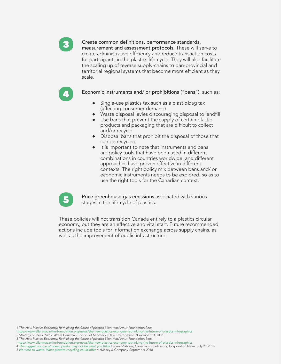

4

#### Create common definitions, performance standards,

measurement and assessment protocols. These will serve to create administrative efficiency and reduce transaction costs for participants in the plastics life-cycle. They will also facilitate the scaling up of reverse supply-chains to pan-provincial and territorial regional systems that become more efficient as they scale.

Economic instruments and/ or prohibitions ("bans"), such as:

- Single-use plastics tax such as a plastic bag tax (affecting consumer demand)
- Waste disposal levies discouraging disposal to landfill
- Use bans that prevent the supply of certain plastic products and packaging that are difficult to collect and/or recycle
- Disposal bans that prohibit the disposal of those that can be recycled
- It is important to note that instruments and bans are policy tools that have been used in different combinations in countries worldwide, and different approaches have proven effective in different contexts. The right policy mix between bans and/ or economic instruments needs to be explored, so as to use the right tools for the Canadian context.



Price greenhouse gas emissions associated with various stages in the life-cycle of plastics.

These policies will not transition Canada entirely to a plastics circular economy, but they are an effective and vital start. Future recommended actions include tools for information exchange across supply chains, as well as the improvement of public infrastructure.

<sup>1</sup> *The New Plastics Economy: Rethinking the future of plastics* Ellen MacArthur Foundation See:

https://www.ellenmacarthurfoundation.org/news/the-new-plastics-economy-rethinking-the-future-of-plastics-infographics

<sup>2</sup> *Strategy on Zero Plastic Waste* Canadian Council of Ministers of the Environment. November 23, 2018.

<sup>3</sup> *The New Plastics Economy: Rethinking the future of plastics* Ellen MacArthur Foundation See:

https://www.ellenmacarthurfoundation.org/news/the-new-plastics-economy-rethinking-the-future-of-plastics-infographics

<sup>4</sup> *The biggest source of ocean plastic may not be what you think* Evgeni Matveev, Canadian Broadcasting Corporation News. July 2nd 2018 5 *No time to waste: What plastics recycling could offer* McKinsey & Company. September 2018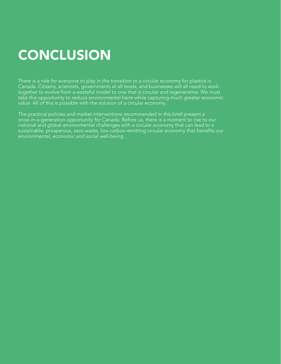# **CONCLUSION**

There is a role for everyone to play in the transition to a circular economy for plastics in Canada. Citizens, scientists, governments at all levels, and businesses will all need to work together to evolve from a wasteful model to one that is circular and regenerative. We must take this opportunity to reduce environmental harm while capturing much greater economic value. All of this is possible with the solution of a circular economy.

The practical policies and market interventions recommended in this brief present a once-in-a-generation opportunity for Canada. Before us, there is a moment to rise to our national and global environmental challenges with a circular economy that can lead to a sustainable, prosperous, zero-waste, low-carbon-emitting circular economy that benefits our environmental, economic and social well-being .